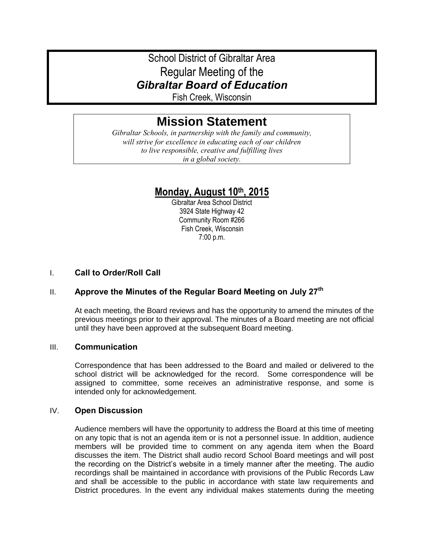# School District of Gibraltar Area Regular Meeting of the *Gibraltar Board of Education*

Fish Creek, Wisconsin

# **Mission Statement**

*Gibraltar Schools, in partnership with the family and community, will strive for excellence in educating each of our children to live responsible, creative and fulfilling lives in a global society.*

## **Monday, August 10th, 2015**

Gibraltar Area School District 3924 State Highway 42 Community Room #266 Fish Creek, Wisconsin 7:00 p.m.

## I. **Call to Order/Roll Call**

## II. **Approve the Minutes of the Regular Board Meeting on July 27th**

At each meeting, the Board reviews and has the opportunity to amend the minutes of the previous meetings prior to their approval. The minutes of a Board meeting are not official until they have been approved at the subsequent Board meeting.

#### III. **Communication**

Correspondence that has been addressed to the Board and mailed or delivered to the school district will be acknowledged for the record. Some correspondence will be assigned to committee, some receives an administrative response, and some is intended only for acknowledgement.

#### IV. **Open Discussion**

Audience members will have the opportunity to address the Board at this time of meeting on any topic that is not an agenda item or is not a personnel issue. In addition, audience members will be provided time to comment on any agenda item when the Board discusses the item. The District shall audio record School Board meetings and will post the recording on the District's website in a timely manner after the meeting. The audio recordings shall be maintained in accordance with provisions of the Public Records Law and shall be accessible to the public in accordance with state law requirements and District procedures. In the event any individual makes statements during the meeting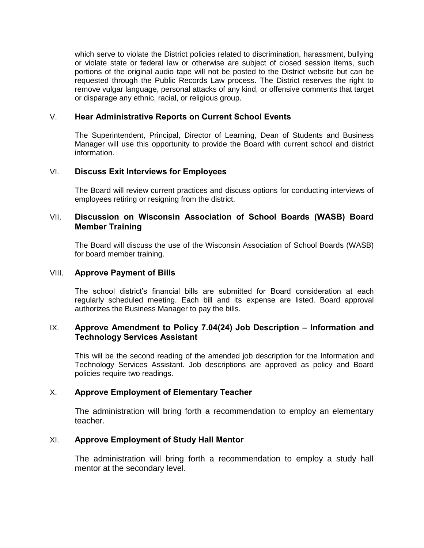which serve to violate the District policies related to discrimination, harassment, bullying or violate state or federal law or otherwise are subject of closed session items, such portions of the original audio tape will not be posted to the District website but can be requested through the Public Records Law process. The District reserves the right to remove vulgar language, personal attacks of any kind, or offensive comments that target or disparage any ethnic, racial, or religious group.

#### V. **Hear Administrative Reports on Current School Events**

The Superintendent, Principal, Director of Learning, Dean of Students and Business Manager will use this opportunity to provide the Board with current school and district information.

#### VI. **Discuss Exit Interviews for Employees**

The Board will review current practices and discuss options for conducting interviews of employees retiring or resigning from the district.

#### VII. **Discussion on Wisconsin Association of School Boards (WASB) Board Member Training**

The Board will discuss the use of the Wisconsin Association of School Boards (WASB) for board member training.

#### VIII. **Approve Payment of Bills**

The school district's financial bills are submitted for Board consideration at each regularly scheduled meeting. Each bill and its expense are listed. Board approval authorizes the Business Manager to pay the bills.

#### IX. **Approve Amendment to Policy 7.04(24) Job Description – Information and Technology Services Assistant**

This will be the second reading of the amended job description for the Information and Technology Services Assistant. Job descriptions are approved as policy and Board policies require two readings.

#### X. **Approve Employment of Elementary Teacher**

The administration will bring forth a recommendation to employ an elementary teacher.

## XI. **Approve Employment of Study Hall Mentor**

The administration will bring forth a recommendation to employ a study hall mentor at the secondary level.